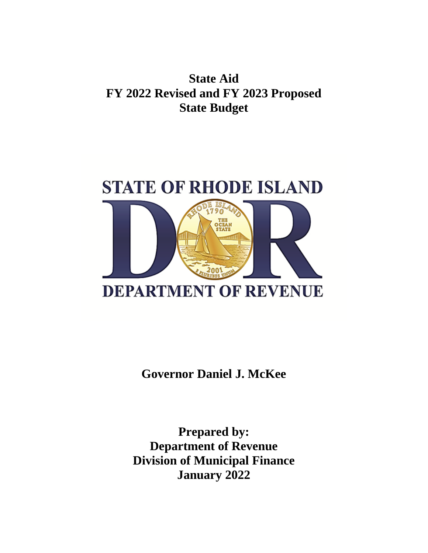## **State Aid FY 2022 Revised and FY 2023 Proposed State Budget**



**Governor Daniel J. McKee**

**Prepared by: Department of Revenue Division of Municipal Finance January 2022**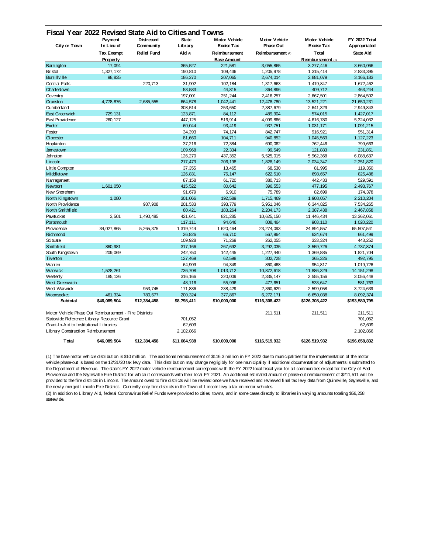| City or Town                                           | Payment<br>In Lieu of         | <b>Distressed</b><br>Community | <b>State</b><br>Library | <b>Motor Vehicle</b><br><b>Excise Tax</b> | <b>Motor Vehicle</b><br><b>Phase Out</b> | <b>Motor Vehicle</b><br><b>Excise Tax</b> | <b>FY 2022 Total</b><br>Appropriated |
|--------------------------------------------------------|-------------------------------|--------------------------------|-------------------------|-------------------------------------------|------------------------------------------|-------------------------------------------|--------------------------------------|
|                                                        |                               | <b>Relief Fund</b>             | Aid $(2)$               | <b>Reimbursement</b>                      | Reimbursement (1)                        | Total                                     | <b>State Aid</b>                     |
|                                                        | <b>Tax Exempt</b><br>Property |                                |                         | <b>Base Amount</b>                        |                                          | Reimbursement (1)                         |                                      |
|                                                        |                               |                                |                         |                                           |                                          |                                           |                                      |
| Barrington                                             | 17,094                        |                                | 365,527                 | 221,581                                   | 3,055,865                                | 3,277,446                                 | 3,660,066                            |
| <b>Bristol</b>                                         | 1,327,172                     |                                | 190,810                 | 109,436                                   | 1,205,978                                | 1,315,414                                 | 2,833,395                            |
| <b>Burrillville</b>                                    | 98,835                        |                                | 186,270                 | 207,065                                   | 2,674,014                                | 2,881,079                                 | 3, 166, 183                          |
| Central Falls                                          |                               | 220,713                        | 31,902                  | 102, 184                                  | 1,317,663                                | 1,419,847                                 | 1,672,462                            |
| Charlestown                                            |                               |                                | 53,533                  | 44,815                                    | 364,896                                  | 409,712                                   | 463,244                              |
| Coventry                                               |                               |                                | 197,001                 | 251,244                                   | 2,416,257                                | 2,667,501                                 | 2,864,502                            |
| Cranston                                               | 4,778,876                     | 2,685,555                      | 664,578                 | 1,042,441                                 | 12,478,780                               | 13,521,221                                | 21,650,231                           |
| Cumberland                                             |                               |                                | 308,514                 | 253,650                                   | 2,387,679                                | 2,641,329                                 | 2,949,843                            |
| East Greenwich                                         | 729, 131                      |                                | 123,871                 | 84,112                                    | 489,904                                  | 574,015                                   | 1,427,017                            |
| East Providence                                        | 260, 127                      |                                | 447,125                 | 516,914                                   | 4,099,866                                | 4,616,780                                 | 5,324,032                            |
| Exeter                                                 |                               |                                | 60,044                  | 93,419                                    | 937,751                                  | 1,031,171                                 | 1,091,215                            |
| Foster                                                 |                               |                                | 34,393                  | 74,174                                    | 842,747                                  | 916,921                                   | 951,314                              |
| Glocester                                              |                               |                                | 81,660                  | 104,711                                   | 940,852                                  | 1,045,563                                 | 1, 127, 223                          |
| Hopkinton                                              |                               |                                | 37,216                  | 72,384                                    | 690,062                                  | 762, 446                                  | 799,663                              |
| Jamestown                                              |                               |                                | 109,968                 | 22,334                                    | 99,549                                   | 121,883                                   | 231,851                              |
| Johnston                                               |                               |                                | 126,270                 | 437,352                                   | 5,525,015                                | 5,962,368                                 | 6,088,637                            |
| Lincoln                                                |                               |                                | 217,473                 | 206, 198                                  | 1,828,149                                | 2,034,347                                 | 2,251,820                            |
| Little Compton                                         |                               |                                | 37,355                  | 13,465                                    | 68,530                                   | 81,995                                    | 119,350                              |
| Middletown                                             |                               |                                | 126,831                 | 76,147                                    | 622,510                                  | 698,657                                   | 825,488                              |
| Narragansett                                           |                               |                                | 87,158                  | 61,720                                    | 380,713                                  | 442,433                                   | 529,591                              |
| Newport                                                | 1,601,050                     |                                | 415,522                 | 80,642                                    | 396,553                                  | 477, 195                                  | 2,493,767                            |
| New Shoreham                                           |                               |                                | 91,679                  | 6,910                                     | 75,789                                   | 82,699                                    | 174,378                              |
| North Kingstown                                        | 1.080                         |                                | 301,066                 | 192,589                                   | 1,715,469                                | 1.908.057                                 | 2,210,204                            |
| North Providence                                       |                               | 987,908                        | 201,533                 | 393,779                                   | 5,951,046                                | 6,344,825                                 | 7,534,265                            |
| North Smithfield                                       |                               |                                | 80,421                  | 183,264                                   | 2, 204, 173                              | 2,387,438                                 | 2,467,858                            |
| Pawtucket                                              | 3,501                         | 1,490,485                      | 421,641                 | 821,285                                   | 10,625,150                               | 11, 446, 434                              | 13, 362, 061                         |
| Portsmouth                                             |                               |                                | 117, 111                | 94,646                                    | 808,464                                  | 903, 110                                  | 1,020,220                            |
| Providence                                             | 34,027,865                    | 5,265,375                      | 1,319,744               | 1,620,464                                 | 23, 274, 093                             | 24, 894, 557                              | 65, 507, 541                         |
| Richmond                                               |                               |                                | 26,826                  | 66,710                                    | 567,964                                  | 634,674                                   | 661,499                              |
| Scituate                                               |                               |                                | 109,928                 | 71,269                                    | 262,055                                  | 333, 324                                  | 443, 252                             |
| Smithfield                                             | 860,981                       |                                | 317, 166                | 267,692                                   | 3,292,035                                | 3,559,726                                 | 4,737,874                            |
| South Kingstown                                        | 209,069                       |                                | 242,750                 | 142,445                                   | 1,227,440                                | 1,369,885                                 | 1,821,704                            |
| Tiverton                                               |                               |                                | 127,469                 | 62,598                                    | 302,728                                  | 365, 326                                  | 492,795                              |
| Warren                                                 |                               |                                | 64,909                  | 94,349                                    | 860,468                                  | 954,817                                   | 1,019,726                            |
| Warwick                                                | 1,528,261                     |                                | 736,708                 | 1,013,712                                 | 10,872,618                               | 11,886,329                                | 14, 151, 298                         |
| Westerly                                               | 185, 126                      |                                | 316, 166                | 220,009                                   | 2,335,147                                | 2,555,156                                 | 3,056,448                            |
| West Greenwich                                         |                               |                                | 48,116                  | 55,996                                    | 477,651                                  | 533,647                                   | 581,763                              |
| West Warwick                                           |                               | 953,745                        | 171,836                 | 238,429                                   | 2,360,629                                | 2,599,058                                 | 3,724,639                            |
| Woonsocket                                             | 461,334                       | 780,677                        | 200,324                 | 377,867                                   | 6,272,171                                | 6,650,038                                 | 8,092,374                            |
| Subtotal                                               | \$46,089,504                  | \$12,384,458                   | \$8,798,411             | \$10,000,000                              | \$116,308,422                            | \$126,308,422                             | \$193,580,795                        |
|                                                        |                               |                                |                         |                                           |                                          |                                           |                                      |
| Motor Vehicle Phase Out Reimbursement - Fire Districts |                               |                                |                         |                                           | 211,511                                  | 211,511                                   | 211,511                              |
| Statewide Reference Library Resource Grant             |                               |                                | 701,052                 |                                           |                                          |                                           | 701,052                              |
| Grant-In-Aid to Institutional Libraries                |                               |                                | 62,609                  |                                           |                                          |                                           | 62,609                               |
| Library Construction Reimbursement                     |                               |                                | 2, 102, 866             |                                           |                                          |                                           | 2,102,866                            |
| Total                                                  | \$46.089.504                  | \$12,384,458                   | \$11.664.938            | \$10,000,000                              | \$116.519.932                            | \$126.519.932                             | \$196.658.832                        |

(1) The base motor vehicle distribution is \$10 million. The additional reimbursement of \$116.3 million in FY 2022 due to municipalities for the implementation of the motor vehicle phase-out is based on the 12/31/20 tax levy data. This distribution may change negligibly for one municipality if additional documentation of adjustments is submitted to the Department of Revenue. The state's FY 2022 motor vehicle reimbursement corresponds with the FY 2022 local fiscal year for all communities except for the City of East Providence and the Saylesville Fire District for which it corresponds with their local FY 2021. An additional estimated amount of phase-out reimbursement of \$211,511 will be provided to the fire districts in Lincoln. The amount owed to fire districts will be revised once we have received and reviewed final tax levy data from Quinnville, Saylesville, and the newly merged Lincoln Fire District. Currently only fire districts in the Town of Lincoln levy a tax on motor vehicles.

(2) In addition to Library Aid, federal Coronavirus Relief Funds were provided to cities, towns, and in some cases directly to libraries in varying amounts totaling \$56,258 statewide.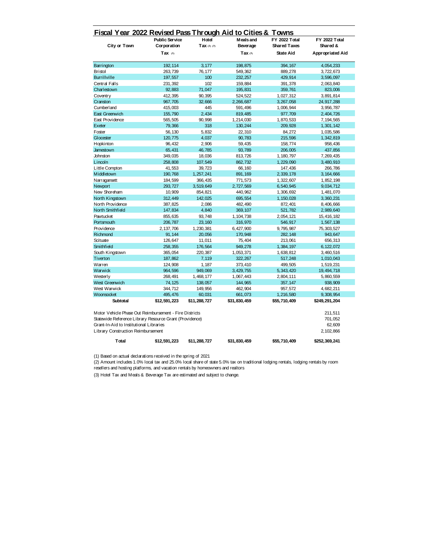| City or Town<br>Barrington<br><b>Bristol</b><br><b>Burrillville</b><br>Central Falls<br>Charlestown<br>Coventry<br>Cranston<br>Cumberland<br>East Greenwich<br>East Providence<br>Exeter<br>Foster<br>Glocester<br>Hopkinton<br>Jamestown<br>Johnston<br>Lincoln<br>Little Compton<br>Middletown<br>Narragansett<br>Newport<br>New Shoreham<br>North Kingstown<br>North Providence<br>North Smithfield<br>Pawtucket<br>Portsmouth<br>Providence<br>Richmond<br>Scituate<br>Smithfield<br>South Kingstown<br>Tiverton<br>Warren | Corporation<br>Tax $(1)$<br>192, 114<br>263.739<br>197,557<br>231,392<br>92,883<br>412,395<br>967,705<br>415,003<br>155,790<br>565,505<br>79,366<br>56,130 | Tax $(2)$ $(3)$<br>3,177<br>76, 177<br>100<br>102<br>71,047<br>90,395<br>32.666<br>445<br>2.434 | <b>Beverage</b><br>Tax $(3)$<br>198,875<br>549.362<br>232.257<br>159,884<br>195,831<br>524,522<br>2.266.687<br>591,496 | <b>Shared Taxes</b><br><b>State Aid</b><br>394.167<br>889.278<br>429.914<br>391,378<br>359,761<br>1,027,312<br>3,267,058 | Shared &<br>Appropriated Aid<br>4,054,233<br>3,722,673<br>3,596,097<br>2,063,840<br>823,006<br>3,891,814 |
|--------------------------------------------------------------------------------------------------------------------------------------------------------------------------------------------------------------------------------------------------------------------------------------------------------------------------------------------------------------------------------------------------------------------------------------------------------------------------------------------------------------------------------|------------------------------------------------------------------------------------------------------------------------------------------------------------|-------------------------------------------------------------------------------------------------|------------------------------------------------------------------------------------------------------------------------|--------------------------------------------------------------------------------------------------------------------------|----------------------------------------------------------------------------------------------------------|
|                                                                                                                                                                                                                                                                                                                                                                                                                                                                                                                                |                                                                                                                                                            |                                                                                                 |                                                                                                                        |                                                                                                                          |                                                                                                          |
|                                                                                                                                                                                                                                                                                                                                                                                                                                                                                                                                |                                                                                                                                                            |                                                                                                 |                                                                                                                        |                                                                                                                          |                                                                                                          |
|                                                                                                                                                                                                                                                                                                                                                                                                                                                                                                                                |                                                                                                                                                            |                                                                                                 |                                                                                                                        |                                                                                                                          |                                                                                                          |
|                                                                                                                                                                                                                                                                                                                                                                                                                                                                                                                                |                                                                                                                                                            |                                                                                                 |                                                                                                                        |                                                                                                                          |                                                                                                          |
|                                                                                                                                                                                                                                                                                                                                                                                                                                                                                                                                |                                                                                                                                                            |                                                                                                 |                                                                                                                        |                                                                                                                          |                                                                                                          |
|                                                                                                                                                                                                                                                                                                                                                                                                                                                                                                                                |                                                                                                                                                            |                                                                                                 |                                                                                                                        |                                                                                                                          |                                                                                                          |
|                                                                                                                                                                                                                                                                                                                                                                                                                                                                                                                                |                                                                                                                                                            |                                                                                                 |                                                                                                                        |                                                                                                                          |                                                                                                          |
|                                                                                                                                                                                                                                                                                                                                                                                                                                                                                                                                |                                                                                                                                                            |                                                                                                 |                                                                                                                        |                                                                                                                          |                                                                                                          |
|                                                                                                                                                                                                                                                                                                                                                                                                                                                                                                                                |                                                                                                                                                            |                                                                                                 |                                                                                                                        |                                                                                                                          | 24,917,288                                                                                               |
|                                                                                                                                                                                                                                                                                                                                                                                                                                                                                                                                |                                                                                                                                                            |                                                                                                 |                                                                                                                        | 1,006,944                                                                                                                | 3,956,787                                                                                                |
|                                                                                                                                                                                                                                                                                                                                                                                                                                                                                                                                |                                                                                                                                                            |                                                                                                 | 819,485                                                                                                                | 977,709                                                                                                                  | 2,404,726                                                                                                |
|                                                                                                                                                                                                                                                                                                                                                                                                                                                                                                                                |                                                                                                                                                            | 90,998                                                                                          | 1,214,030                                                                                                              | 1,870,533                                                                                                                | 7,194,565                                                                                                |
|                                                                                                                                                                                                                                                                                                                                                                                                                                                                                                                                |                                                                                                                                                            | 318                                                                                             | 130,244                                                                                                                | 209,928                                                                                                                  | 1,301,142                                                                                                |
|                                                                                                                                                                                                                                                                                                                                                                                                                                                                                                                                |                                                                                                                                                            | 5,832                                                                                           | 22,310                                                                                                                 | 84,272                                                                                                                   | 1,035,586                                                                                                |
|                                                                                                                                                                                                                                                                                                                                                                                                                                                                                                                                | 120,775                                                                                                                                                    | 4,037                                                                                           | 90.783                                                                                                                 | 215,596                                                                                                                  | 1,342,819                                                                                                |
|                                                                                                                                                                                                                                                                                                                                                                                                                                                                                                                                | 96,432                                                                                                                                                     | 2,906                                                                                           | 59,435                                                                                                                 | 158.774                                                                                                                  | 958,436                                                                                                  |
|                                                                                                                                                                                                                                                                                                                                                                                                                                                                                                                                | 65,431                                                                                                                                                     | 46,785                                                                                          | 93,789                                                                                                                 | 206,005                                                                                                                  | 437,856                                                                                                  |
|                                                                                                                                                                                                                                                                                                                                                                                                                                                                                                                                | 349,035                                                                                                                                                    | 18,036                                                                                          | 813,726                                                                                                                | 1,180,797                                                                                                                | 7,269,435                                                                                                |
|                                                                                                                                                                                                                                                                                                                                                                                                                                                                                                                                | 258,808                                                                                                                                                    | 107,549                                                                                         | 862.732                                                                                                                | 1,229,090                                                                                                                | 3,480,910                                                                                                |
|                                                                                                                                                                                                                                                                                                                                                                                                                                                                                                                                | 41,553                                                                                                                                                     | 39.723                                                                                          | 66,160                                                                                                                 | 147,436                                                                                                                  | 266,786                                                                                                  |
|                                                                                                                                                                                                                                                                                                                                                                                                                                                                                                                                | 190.768                                                                                                                                                    | 1.257.241                                                                                       | 891.169                                                                                                                | 2,339,178                                                                                                                | 3, 164, 666                                                                                              |
|                                                                                                                                                                                                                                                                                                                                                                                                                                                                                                                                | 184,599                                                                                                                                                    | 366,435                                                                                         | 771,573                                                                                                                | 1,322,607                                                                                                                | 1,852,198                                                                                                |
|                                                                                                                                                                                                                                                                                                                                                                                                                                                                                                                                | 293.727                                                                                                                                                    | 3.519.649                                                                                       | 2.727.569                                                                                                              | 6.540.945                                                                                                                | 9.034.712                                                                                                |
|                                                                                                                                                                                                                                                                                                                                                                                                                                                                                                                                | 10,909                                                                                                                                                     | 854.821                                                                                         | 440.962                                                                                                                | 1,306,692                                                                                                                | 1,481,070                                                                                                |
|                                                                                                                                                                                                                                                                                                                                                                                                                                                                                                                                | 312, 449                                                                                                                                                   | 142.025                                                                                         | 695,554                                                                                                                | 1, 150, 028                                                                                                              | 3,360,231                                                                                                |
|                                                                                                                                                                                                                                                                                                                                                                                                                                                                                                                                | 387,825                                                                                                                                                    | 2,086                                                                                           | 482,490                                                                                                                | 872, 401                                                                                                                 | 8,406,666                                                                                                |
|                                                                                                                                                                                                                                                                                                                                                                                                                                                                                                                                | 147,834                                                                                                                                                    | 4,840                                                                                           | 369, 107                                                                                                               | 521,782                                                                                                                  | 2,989,640                                                                                                |
|                                                                                                                                                                                                                                                                                                                                                                                                                                                                                                                                | 855,635                                                                                                                                                    | 93,748                                                                                          | 1, 104, 738                                                                                                            | 2,054,121                                                                                                                | 15,416,182                                                                                               |
|                                                                                                                                                                                                                                                                                                                                                                                                                                                                                                                                | 206,787                                                                                                                                                    | 23, 160                                                                                         | 316,970                                                                                                                | 546,917                                                                                                                  | 1,567,138                                                                                                |
|                                                                                                                                                                                                                                                                                                                                                                                                                                                                                                                                | 2, 137, 706                                                                                                                                                | 1,230,381                                                                                       | 6,427,900                                                                                                              | 9,795,987                                                                                                                | 75, 303, 527                                                                                             |
|                                                                                                                                                                                                                                                                                                                                                                                                                                                                                                                                | 91,144                                                                                                                                                     | 20,056                                                                                          | 170,948                                                                                                                | 282, 148                                                                                                                 | 943,647                                                                                                  |
|                                                                                                                                                                                                                                                                                                                                                                                                                                                                                                                                | 126,647                                                                                                                                                    | 11,011                                                                                          | 75,404                                                                                                                 | 213,061                                                                                                                  | 656,313                                                                                                  |
|                                                                                                                                                                                                                                                                                                                                                                                                                                                                                                                                | 258,355                                                                                                                                                    | 176,564                                                                                         | 949,278                                                                                                                | 1,384,197                                                                                                                | 6,122,072                                                                                                |
|                                                                                                                                                                                                                                                                                                                                                                                                                                                                                                                                | 365,054                                                                                                                                                    | 220,387                                                                                         | 1,053,371                                                                                                              | 1,638,812                                                                                                                | 3,460,516                                                                                                |
|                                                                                                                                                                                                                                                                                                                                                                                                                                                                                                                                | 187,862                                                                                                                                                    | 7,119                                                                                           | 322, 267                                                                                                               | 517,248                                                                                                                  | 1,010,043                                                                                                |
|                                                                                                                                                                                                                                                                                                                                                                                                                                                                                                                                | 124,908                                                                                                                                                    | 1,187                                                                                           | 373,410                                                                                                                | 499,505                                                                                                                  | 1,519,231                                                                                                |
| Warwick                                                                                                                                                                                                                                                                                                                                                                                                                                                                                                                        | 964,596                                                                                                                                                    | 949,069                                                                                         | 3,429,755                                                                                                              | 5,343,420                                                                                                                | 19,494,718                                                                                               |
| Westerly                                                                                                                                                                                                                                                                                                                                                                                                                                                                                                                       | 268,491                                                                                                                                                    | 1,468,177                                                                                       | 1,067,443                                                                                                              | 2,804,111                                                                                                                | 5,860,559                                                                                                |
| West Greenwich                                                                                                                                                                                                                                                                                                                                                                                                                                                                                                                 | 74,125                                                                                                                                                     | 138,057                                                                                         | 144,965                                                                                                                | 357, 147                                                                                                                 | 938,909                                                                                                  |
| West Warwick                                                                                                                                                                                                                                                                                                                                                                                                                                                                                                                   |                                                                                                                                                            |                                                                                                 |                                                                                                                        |                                                                                                                          |                                                                                                          |
|                                                                                                                                                                                                                                                                                                                                                                                                                                                                                                                                | 344,712                                                                                                                                                    | 149,956                                                                                         | 462,904                                                                                                                | 957,572                                                                                                                  | 4,682,211                                                                                                |
| Woonsocket<br>Subtotal<br>\$12,591,223                                                                                                                                                                                                                                                                                                                                                                                                                                                                                         | 495,476                                                                                                                                                    | 60,031<br>\$11,288,727                                                                          | 661,073<br>\$31,830,459                                                                                                | 1,216,580<br>\$55,710,409                                                                                                | 9,308,954<br>\$249, 291, 204                                                                             |

| Total                                                   | \$12,591,223 | \$11.288.727 | \$31.830.459 | \$55,710,409 | \$252,369,241  |  |  |  |
|---------------------------------------------------------|--------------|--------------|--------------|--------------|----------------|--|--|--|
| Library Construction Reimbursement                      |              |              |              |              | 2.102.866      |  |  |  |
| Grant-In-Aid to Institutional Libraries                 |              |              |              |              | 62.609         |  |  |  |
| Statewide Reference Library Resource Grant (Providence) |              |              |              |              |                |  |  |  |
| MUU VEIIUE FILASE OUL REIIIDUISEIIEII FIIE DISIIUS      |              |              |              |              | <b>211.911</b> |  |  |  |

(1) Based on actual declarations received in the spring of 2021

(2) Amount includes 1.0% local tax and 25.0% local share of state 5.0% tax on traditional lodging rentals, lodging rentals by room resellers and hosting platforms, and vacation rentals by homeowners and realtors

(3) Hotel Tax and Meals & Beverage Tax are estimated and subject to change.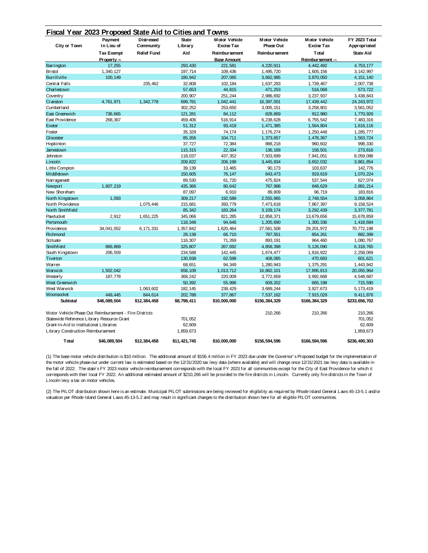|                                                        | Payment           | <b>Distressed</b>  | <b>State</b> | <b>Motor Vehicle</b> | <b>Motor Vehicle</b> | <b>Motor Vehicle</b> | <b>FY 2023 Total</b> |
|--------------------------------------------------------|-------------------|--------------------|--------------|----------------------|----------------------|----------------------|----------------------|
| City or Town                                           | In Lieu of        | Community          | Library      | <b>Excise Tax</b>    | <b>Phase Out</b>     | <b>Excise Tax</b>    | Appropriated         |
|                                                        | <b>Tax Exempt</b> | <b>Relief Fund</b> | Aid          | <b>Reimbursement</b> | <b>Reimbursement</b> | Total                | <b>State Aid</b>     |
|                                                        | Property (2)      |                    |              | <b>Base Amount</b>   |                      | Reimbursement (1)    |                      |
| Barrington                                             | 17,255            |                    | 293, 430     | 221,581              | 4,220,911            | 4,442,492            | 4,753,177            |
| <b>Bristol</b>                                         | 1,340,127         |                    | 197,714      | 109,436              | 1,495,720            | 1,605,156            | 3, 142, 997          |
| <b>Burrillville</b>                                    | 100,149           |                    | 180,942      | 207,065              | 3,662,985            | 3,870,050            | 4, 151, 140          |
| Central Falls                                          |                   | 235,462            | 32,808       | 102, 184             | 1,637,283            | 1,739,467            | 2,007,738            |
| Charlestown                                            |                   |                    | 57,653       | 44,815               | 471,253              | 516,068              | 573,722              |
| Coventry                                               |                   |                    | 200,907      | 251,244              | 2,986,692            | 3,237,937            | 3,438,843            |
| Cranston                                               | 4,761,971         | 1,342,778          | 699,781      | 1,042,441            | 16,397,001           | 17, 439, 442         | 24, 243, 972         |
| Cumberland                                             |                   |                    | 302,252      | 253,650              | 3,005,151            | 3,258,801            | 3,561,052            |
| East Greenwich                                         | 736,665           |                    | 121,281      | 84,112               | 828,869              | 912,980              | 1,770,926            |
| East Providence                                        | 268,367           |                    | 459,406      | 516,914              | 6,238,628            | 6,755,542            | 7,483,316            |
| Exeter                                                 |                   |                    | 51,312       | 93,419               | 1,471,385            | 1,564,804            | 1,616,116            |
| Foster                                                 |                   |                    | 35,329       | 74,174               | 1,176,274            | 1,250,448            | 1,285,777            |
| Glocester                                              |                   |                    | 85,356       | 104,711              | 1,373,657            | 1,478,367            | 1,563,724            |
| Hopkinton                                              |                   |                    | 37,727       | 72,384               | 888,218              | 960,602              | 998, 330             |
| Jamestown                                              |                   |                    | 115,315      | 22,334               | 136, 168             | 158,501              | 273,816              |
| Johnston                                               |                   |                    | 118,037      | 437,352              | 7,503,699            | 7,941,051            | 8,059,088            |
| Lincoln                                                |                   |                    | 209,822      | 206, 198             | 3,445,834            | 3,652,032            | 3,861,854            |
| Little Compton                                         |                   |                    | 39, 139      | 13,465               | 90,173               | 103,637              | 142,776              |
| Middletown                                             |                   |                    | 150,605      | 76,147               | 843,473              | 919,619              | 1,070,224            |
| Narragansett                                           |                   |                    | 89,530       | 61,720               | 475,824              | 537,544              | 627,074              |
| Newport                                                | 1,607,219         |                    | 435,366      | 80,642               | 767,988              | 848,629              | 2,891,214            |
| New Shoreham                                           |                   |                    | 87,097       | 6,910                | 89,809               | 96,719               | 183,816              |
| North Kingstown                                        | 1.093             |                    | 309,217      | 192,589              | 2.555.965            | 2.748.554            | 3,058,864            |
| North Providence                                       |                   | 1,075,446          | 215,681      | 393,779              | 7,473,618            | 7,867,397            | 9, 158, 524          |
| North Smithfield                                       |                   |                    | 85,342       | 183,264              | 3, 109, 174          | 3, 292, 439          | 3,377,781            |
| Pawtucket                                              | 2,912             | 1,651,225          | 345,066      | 821,285              | 12,858,371           | 13,679,656           | 15,678,859           |
| Portsmouth                                             |                   |                    | 118,348      | 94,646               | 1,205,690            | 1,300,336            | 1,418,684            |
| Providence                                             | 34,041,052        | 6,171,331          | 1,357,842    | 1,620,464            | 27,581,508           | 29, 201, 972         | 70, 772, 198         |
| Richmond                                               |                   |                    | 28,138       | 66,710               | 787,551              | 854,261              | 882, 399             |
| Scituate                                               |                   |                    | 116,307      | 71,269               | 893, 191             | 964,460              | 1,080,767            |
| Smithfield                                             | 866,869           |                    | 325,807      | 267,692              | 4,858,398            | 5, 126, 090          | 6,318,765            |
| South Kingstown                                        | 206,559           |                    | 234,588      | 142,445              | 1,674,477            | 1,816,922            | 2,258,069            |
| Tiverton                                               |                   |                    | 130,938      | 62,598               | 408,085              | 470,683              | 601,621              |
| Warren                                                 |                   |                    | 68,651       | 94,349               | 1,280,943            | 1,375,291            | 1,443,942            |
| Warwick                                                | 1,502,042         |                    | 658,109      | 1,013,712            | 16,882,101           | 17,895,813           | 20, 055, 964         |
| Westerly                                               | 187,778           |                    | 368,242      | 220,009              | 3,772,659            | 3,992,668            | 4,548,687            |
| West Greenwich                                         |                   |                    | 50,392       | 55,996               | 609,202              | 665, 198             | 715,590              |
| West Warwick                                           |                   | 1,063,602          | 182, 145     | 238,429              | 3,689,244            | 3,927,673            | 5, 173, 419          |
| Woonsocket                                             | 449,445           | 844,614            | 202,788      | 377,867              | 7,537,162            | 7,915,029            | 9,411,876            |
| Subtotal                                               | \$46,089,504      | \$12,384,458       | \$8,798,411  | \$10,000,000         | \$156,384,329        | \$166,384,329        | \$233,656,702        |
| Motor Vehicle Phase Out Reimbursement - Fire Districts |                   |                    |              |                      | 210,266              | 210,266              | 210,266              |
| Statewide Reference Library Resource Grant             |                   |                    | 701,052      |                      |                      |                      | 701,052              |
| Grant-In-Aid to Institutional Libraries                |                   |                    | 62,609       |                      |                      |                      | 62,609               |
| Library Construction Reimbursement                     |                   |                    | 1,859,673    |                      |                      |                      | 1,859,673            |
|                                                        |                   |                    |              |                      |                      |                      |                      |
| Total                                                  | \$46,089,504      | \$12,384,458       | \$11.421.745 | \$10,000,000         | \$156,594,596        | \$166.594.596        | \$236,490,303        |

(1) The base motor vehicle distribution is \$10 million. The additional amount of \$156.4 million in FY 2023 due under the Governor' s Proposed budget for the implementation of the motor vehicle phase-out under current law is estimated based on the 12/31/2020 tax levy data (where available) and will change once 12/31/2021 tax levy data is available in the fall of 2022. The state's FY 2023 motor vehicle reimbursement corresponds with the local FY 2023 for all communities except for the City of East Providence for which it corresponds with their local FY 2022. An additional estimated amount of \$210,266 will be provided to the fire districts in Lincoln. Currently only fire districts in the Town of Lincoln levy a tax on motor vehicles.

(2) The PILOT distribution shown here is an estimate. Municipal PILOT submissions are being reviewed for eligibility as required by Rhode Island General Laws 45-13-5.1 and/or valuation per Rhode Island General Laws 45-13-5.2 and may result in significant changes to the distribution shown here for all eligible PILOT communities.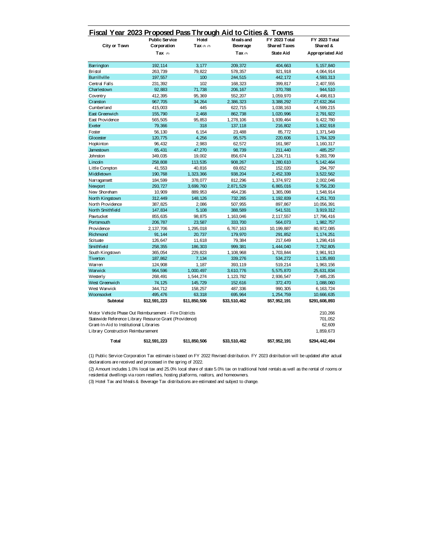|                                                         | <b>Public Service</b> | Hotel        | Meals and       | FY 2023 Total       | <b>FY 2023 Total</b> |
|---------------------------------------------------------|-----------------------|--------------|-----------------|---------------------|----------------------|
| City or Town                                            | Corporation           | Tax (2) (3)  | <b>Beverage</b> | <b>Shared Taxes</b> | Shared &             |
|                                                         | Tax $(1)$             |              | Tax $(3)$       | State Aid           | Appropriated Aid     |
| Barrington                                              | 192, 114              | 3,177        | 209,372         | 404.663             | 5, 157, 840          |
| <b>Bristol</b>                                          | 263,739               | 79,822       | 578,357         | 921,918             | 4,064,914            |
| <b>Burrillville</b>                                     | 197,557               | 100          | 244,515         | 442, 172            | 4,593,313            |
| Central Falls                                           | 231,392               | 102          | 168,323         | 399,817             | 2,407,555            |
| Charlestown                                             | 92,883                | 71,738       | 206, 167        | 370,788             | 944,510              |
| Coventry                                                | 412,395               | 95,369       | 552,207         | 1,059,970           | 4,498,813            |
| Cranston                                                | 967,705               | 34,264       | 2,386,323       | 3,388,292           | 27,632,264           |
| Cumberland                                              | 415,003               | 445          | 622,715         | 1,038,163           | 4,599,215            |
| East Greenwich                                          | 155,790               | 2,468        | 862,738         | 1,020,996           | 2,791,922            |
| East Providence                                         | 565,505               | 95,853       | 1,278,106       | 1,939,464           | 9,422,780            |
| Exeter                                                  | 79,366                | 318          | 137,118         | 216,802             | 1,832,918            |
| Foster                                                  | 56, 130               | 6.154        | 23,488          | 85,772              | 1,371,549            |
| Glocester                                               | 120,775               | 4,256        | 95,575          | 220,606             | 1,784,329            |
| Hopkinton                                               | 96, 432               | 2,983        | 62,572          | 161,987             | 1, 160, 317          |
| Jamestown                                               | 65,431                | 47,270       | 98,739          | 211,440             | 485,257              |
| Johnston                                                | 349,035               | 19,002       | 856,674         | 1,224,711           | 9,283,799            |
| Lincoln                                                 | 258,808               | 113,535      | 908, 267        | 1,280,610           | 5, 142, 464          |
| Little Compton                                          | 41,553                | 40,816       | 69,652          | 152,020             | 294,797              |
| Middletown                                              | 190,768               | 1,323,366    | 938, 204        | 2,452,339           | 3,522,562            |
| Narragansett                                            | 184,599               | 378,077      | 812,296         | 1,374,972           | 2,002,046            |
| Newport                                                 | 293,727               | 3,699,760    | 2,871,529       | 6,865,016           | 9,756,230            |
| New Shoreham                                            | 10,909                | 889,953      | 464,236         | 1,365,098           | 1,548,914            |
| North Kingstown                                         | 312,449               | 148, 126     | 732,265         | 1, 192, 839         | 4,251,703            |
| North Providence                                        | 387,825               | 2,086        | 507,955         | 897,867             | 10,056,391           |
| North Smithfield                                        | 147,834               | 5,108        | 388,589         | 541,531             | 3,919,312            |
| Pawtucket                                               | 855,635               | 98,875       | 1, 163, 046     | 2, 117, 557         | 17,796,416           |
| Portsmouth                                              | 206,787               | 23,587       | 333,700         | 564,073             | 1,982,757            |
| Providence                                              | 2, 137, 706           | 1,295,018    | 6,767,163       | 10, 199, 887        | 80, 972, 085         |
| Richmond                                                | 91,144                | 20,737       | 179,970         | 291,852             | 1, 174, 251          |
| Scituate                                                | 126,647               | 11,618       | 79,384          | 217,649             | 1,298,416            |
| Smithfield                                              | 258, 355              | 186,303      | 999,381         | 1,444,040           | 7,762,805            |
| South Kingstown                                         | 365,054               | 229,823      | 1,108,968       | 1,703,844           | 3,961,913            |
| Tiverton                                                | 187,862               | 7,134        | 339,276         | 534,272             | 1, 135, 893          |
| Warren                                                  | 124,908               | 1,187        | 393, 119        | 519,214             | 1,963,156            |
| Warwick                                                 | 964,596               | 1,000,497    | 3,610,776       | 5,575,870           | 25,631,834           |
| Westerly                                                | 268,491               | 1,544,274    | 1, 123, 782     | 2,936,547           | 7,485,235            |
| West Greenwich                                          | 74,125                | 145,729      | 152,616         | 372,470             | 1,088,060            |
| West Warwick                                            | 344,712               | 158,257      | 487,336         | 990, 305            | 6, 163, 724          |
| Woonsocket                                              | 495,476               | 63,318       | 695,964         | 1,254,759           | 10,666,635           |
| Subtotal                                                | \$12,591,223          | \$11,850,506 | \$33,510,462    | \$57,952,191        | \$291,608,893        |
| Motor Vehicle Phase Out Reimbursement - Fire Districts  |                       |              |                 |                     | 210,266              |
| Statewide Reference Library Resource Grant (Providence) |                       |              |                 |                     | 701,052              |
| Grant-In-Aid to Institutional Libraries                 |                       |              |                 |                     | 62,609               |
| Library Construction Reimbursement                      |                       |              |                 |                     | 1,859,673            |

**Total \$12,591,223 \$11,850,506 \$33,510,462 \$57,952,191 \$294,442,494**

(1) Public Service Corporation Tax estimate is based on FY 2022 Revised distribution. FY 2023 distribution will be updated after actual declarations are received and processed in the spring of 2022.

(2) Amount includes 1.0% local tax and 25.0% local share of state 5.0% tax on traditional hotel rentals as well as the rental of rooms or residential dwellings via room resellers, hosting platforms, realtors, and homeowners.

(3) Hotel Tax and Meals & Beverage Tax distributions are estimated and subject to change.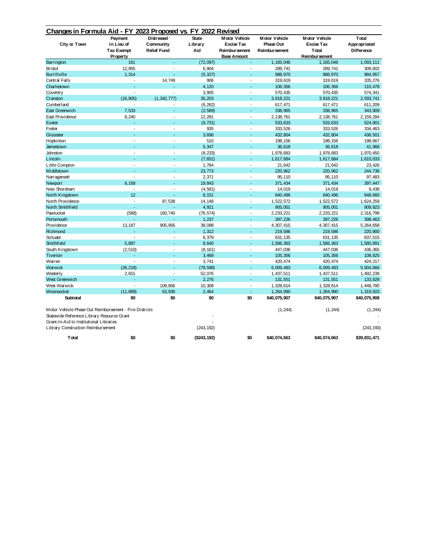| Changes in Formula Aid - FY 2023 Proposed vs. FY 2022 Revised                                                                                                                         |                                                        |                                               |                                |                                                                                         |                                                           |                                                                      |                                            |
|---------------------------------------------------------------------------------------------------------------------------------------------------------------------------------------|--------------------------------------------------------|-----------------------------------------------|--------------------------------|-----------------------------------------------------------------------------------------|-----------------------------------------------------------|----------------------------------------------------------------------|--------------------------------------------|
| City or Town                                                                                                                                                                          | Payment<br>In Lieu of<br><b>Tax Exempt</b><br>Property | Distressed<br>Community<br><b>Relief Fund</b> | <b>State</b><br>Library<br>Aid | <b>Motor Vehicle</b><br><b>Excise Tax</b><br><b>Reimbursement</b><br><b>Base Amount</b> | <b>Motor Vehicle</b><br>Phase Out<br><b>Reimbursement</b> | <b>Motor Vehicle</b><br><b>Excise Tax</b><br>Total<br>Reimbur sement | Total<br>Appropriated<br><b>Difference</b> |
| Barrington                                                                                                                                                                            | 161                                                    | ä,                                            | (72,097)                       |                                                                                         | 1, 165, 046                                               | 1, 165, 046                                                          | 1,093,111                                  |
| <b>Bristol</b>                                                                                                                                                                        | 12,955                                                 | L.                                            | 6,904                          | ÷.                                                                                      | 289,741                                                   | 289,741                                                              | 309,602                                    |
| <b>Burrillville</b>                                                                                                                                                                   | 1,314                                                  |                                               | (5, 327)                       |                                                                                         | 988,970                                                   | 988, 970                                                             | 984, 957                                   |
| Central Falls                                                                                                                                                                         |                                                        | 14,749                                        | 906                            |                                                                                         | 319,619                                                   | 319,619                                                              | 335,276                                    |
| Charlestown                                                                                                                                                                           |                                                        |                                               | 4,120                          |                                                                                         | 106,356                                                   | 106,356                                                              | 110,478                                    |
| Coventry                                                                                                                                                                              |                                                        | J.                                            | 3,905                          | $\overline{a}$                                                                          | 570,435                                                   | 570, 435                                                             | 574,341                                    |
| Cranston                                                                                                                                                                              | (16, 905)                                              | (1, 342, 777)                                 | 35,203                         |                                                                                         | 3,918,221                                                 | 3,918,221                                                            | 2,593,741                                  |
| Cumberland                                                                                                                                                                            |                                                        |                                               | (6, 262)                       | $\overline{a}$                                                                          | 617,471                                                   | 617,471                                                              | 611,209                                    |
| East Greenwich                                                                                                                                                                        | 7,533                                                  |                                               | (2, 589)                       |                                                                                         | 338,965                                                   | 338,965                                                              | 343,909                                    |
| East Providence                                                                                                                                                                       | 8,240                                                  | L.                                            | 12,281                         | L.                                                                                      | 2, 138, 761                                               | 2, 138, 761                                                          | 2, 159, 284                                |
| Exeter                                                                                                                                                                                |                                                        |                                               | (8, 731)                       |                                                                                         | 533,633                                                   | 533,633                                                              | 524,901                                    |
| Foster                                                                                                                                                                                | ÷                                                      | ÷.                                            | 935                            | ÷.                                                                                      | 333,526                                                   | 333,526                                                              | 334,463                                    |
| Glocester                                                                                                                                                                             | ÷                                                      | ä,                                            | 3,696                          | ä,                                                                                      | 432,804                                                   | 432,804                                                              | 436,501                                    |
| Hopkinton                                                                                                                                                                             | $\overline{a}$                                         | ÷,                                            | 510                            | $\overline{\phantom{a}}$                                                                | 198, 156                                                  | 198, 156                                                             | 198,667                                    |
| Jamestown                                                                                                                                                                             |                                                        |                                               | 5,347                          |                                                                                         | 36,618                                                    | 36,618                                                               | 41,966                                     |
| Johnston                                                                                                                                                                              | $\overline{a}$                                         | L,                                            | (8, 233)                       | L,                                                                                      | 1,978,683                                                 | 1,978,683                                                            | 1,970,450                                  |
| Lincoln                                                                                                                                                                               |                                                        | L,                                            | (7,651)                        | ÷                                                                                       | 1,617,684                                                 | 1,617,684                                                            | 1,610,033                                  |
| Little Compton                                                                                                                                                                        |                                                        | Ĭ.                                            | 1,784                          | Ĭ.                                                                                      | 21,642                                                    | 21,642                                                               | 23,426                                     |
| Middletown                                                                                                                                                                            |                                                        |                                               | 23,773                         |                                                                                         | 220,962                                                   | 220,962                                                              | 244,736                                    |
| Narragansett                                                                                                                                                                          | ÷.                                                     | $\overline{a}$                                | 2,371                          | $\overline{a}$                                                                          | 95,110                                                    | 95, 110                                                              | 97,483                                     |
| Newport                                                                                                                                                                               | 6,168                                                  |                                               | 19,843                         |                                                                                         | 371,434                                                   | 371,434                                                              | 397,447                                    |
| New Shoreham                                                                                                                                                                          |                                                        | L,                                            | (4, 581)                       | ÷,                                                                                      | 14,019                                                    | 14,019                                                               | 9,438                                      |
| North Kingstown                                                                                                                                                                       | 12                                                     |                                               | 8,151                          |                                                                                         | 840,496                                                   | 840, 496                                                             | 848,660                                    |
| North Providence                                                                                                                                                                      | L.                                                     | 87,538                                        | 14,148                         | L,                                                                                      | 1,522,572                                                 | 1,522,572                                                            | 1,624,259                                  |
| North Smithfield                                                                                                                                                                      |                                                        |                                               | 4,921                          |                                                                                         | 905,001                                                   | 905,001                                                              | 909,923                                    |
| Pawtucket                                                                                                                                                                             | (588)                                                  | 160,740                                       | (76, 574)                      | ÷,                                                                                      | 2,233,221                                                 | 2, 233, 221                                                          | 2,316,798                                  |
| Portsmouth                                                                                                                                                                            |                                                        |                                               | 1,237                          | ×.                                                                                      | 397,226                                                   | 397,226                                                              | 398,463                                    |
| Providence                                                                                                                                                                            | 13,187                                                 | 905,956                                       | 38,098                         | ÷,                                                                                      | 4,307,415                                                 | 4,307,415                                                            | 5,264,658                                  |
| Richmond                                                                                                                                                                              |                                                        |                                               | 1,312                          |                                                                                         | 219,586                                                   | 219,586                                                              | 220,900                                    |
| Scituate                                                                                                                                                                              | ÷.                                                     | $\overline{a}$                                | 6,379                          | $\overline{a}$                                                                          | 631, 135                                                  | 631, 135                                                             | 637,515                                    |
| Smithfield                                                                                                                                                                            | 5,887                                                  | L.                                            | 8,640                          |                                                                                         | 1,566,363                                                 | 1,566,363                                                            | 1,580,891                                  |
| South Kingstown                                                                                                                                                                       | (2, 510)                                               | ÷,                                            | (8, 161)                       | Ĭ.                                                                                      | 447,036                                                   | 447,036                                                              | 436,365                                    |
| Tiverton                                                                                                                                                                              |                                                        | L.                                            | 3,469                          |                                                                                         | 105,356                                                   | 105,356                                                              | 108,825                                    |
| Warren                                                                                                                                                                                | ÷.                                                     | ÷.                                            | 3,741                          | J.                                                                                      | 420, 474                                                  | 420, 474                                                             | 424,217                                    |
| Warwick                                                                                                                                                                               | (26, 218)                                              | ÷                                             | (78, 598)                      | ÷                                                                                       | 6,009,483                                                 | 6,009,483                                                            | 5,904,666                                  |
| Westerly                                                                                                                                                                              | 2,651                                                  | L,                                            | 52,076                         | ÷,                                                                                      | 1,437,511                                                 | 1,437,511                                                            | 1,492,239                                  |
| West Greenwich                                                                                                                                                                        |                                                        |                                               | 2,276                          |                                                                                         | 131,551                                                   | 131,551                                                              | 133,828                                    |
| West Warwick                                                                                                                                                                          |                                                        | 109,856                                       | 10,308                         | $\overline{a}$                                                                          | 1,328,614                                                 | 1,328,614                                                            | 1,448,780                                  |
| Woonsocket                                                                                                                                                                            | (11, 889)                                              | 63,936                                        | 2,464                          |                                                                                         | 1,264,990                                                 | 1,264,990                                                            | 1,319,503                                  |
| Subtotal                                                                                                                                                                              | \$0                                                    | \$0                                           | \$0                            | \$0                                                                                     | \$40,075,907                                              | \$40,075,907                                                         | \$40,075,908                               |
| Motor Vehicle Phase Out Reimbursement - Fire Districts<br>Statewide Reference Library Resource Grant<br>Grant-In-Aid to Institutional Libraries<br>Library Construction Reimbursement |                                                        |                                               | (243, 192)                     |                                                                                         | (1, 244)                                                  | (1, 244)                                                             | (1, 244)<br>(243, 193)                     |
| Total                                                                                                                                                                                 | \$0                                                    | \$0                                           | (\$243,192)                    | \$0                                                                                     | \$40.074.663                                              | \$40.074.663                                                         | \$39.831.471                               |